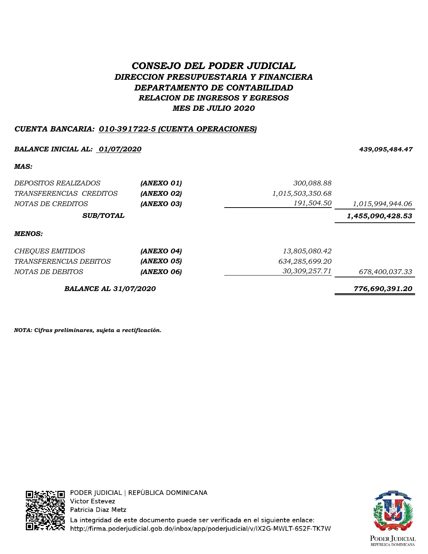# *CONSEJO DEL PODER JUDICIAL DIRECCION PRESUPUESTARIA Y FINANCIERA DEPARTAMENTO DE CONTABILIDAD RELACION DE INGRESOS Y EGRESOS MES DE JULIO 2020*

## *CUENTA BANCARIA: 010-391722-5 (CUENTA OPERACIONES)*

## *BALANCE INICIAL AL: 01/07/2020 439,095,484.47*

#### *MAS:*

| DEPOSITOS REALIZADOS          | (ANEXO 01) | 300,088.88       |                  |
|-------------------------------|------------|------------------|------------------|
| TRANSFERENCIAS CREDITOS       | (ANEXO 02) | 1,015,503,350.68 |                  |
| NOTAS DE CREDITOS             | (ANEXO 03) | 191,504.50       | 1,015,994,944.06 |
| <b>SUB/TOTAL</b>              |            |                  | 1,455,090,428.53 |
| <b>MENOS:</b>                 |            |                  |                  |
| <b>CHEQUES EMITIDOS</b>       | (ANEXO 04) | 13,805,080.42    |                  |
| <i>TRANSFERENCIAS DEBITOS</i> | (ANEXO 05) | 634,285,699.20   |                  |
| NOTAS DE DEBITOS              | (ANEXO 06) | 30,309,257.71    | 678,400,037.33   |
| <b>BALANCE AL 31/07/2020</b>  |            |                  | 776,690,391.20   |

*NOTA: Cifras preliminares, sujeta a rectificación.*



PODER JUDICIAL | REPÚBLICA DOMINICANA **Victor Estevez** Patricia Diaz Metz La integridad de este documento puede ser verificada en el siguiente enlace:

http://firma.poderjudicial.gob.do/inbox/app/poderjudicial/v/IX2G-MWLT-6S2F-TK7W

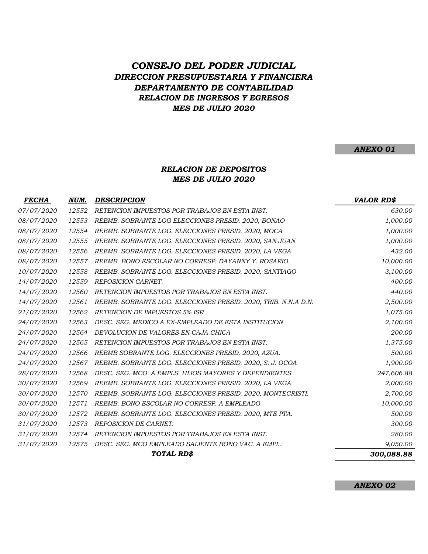## *CONSEJO DEL PODER JUDICIAL DIRECCION PRESUPUESTARIA Y FINANCIERA DEPARTAMENTO DE CONTABILIDAD RELACION DE INGRESOS Y EGRESOS MES DE JULIO 2020*

### *ANEXO 01*

### *MES DE JULIO 2020 RELACION DE DEPOSITOS*

| <b>FECHA</b> | NUM.  | <b>DESCRIPCION</b>                                             | <b>VALOR RD\$</b> |
|--------------|-------|----------------------------------------------------------------|-------------------|
| 07/07/2020   | 12552 | RETENCION IMPUESTOS POR TRABAJOS EN ESTA INST.                 | 630.00            |
| 08/07/2020   | 12553 | REEMB. SOBRANTE LOG ELECCIONES PRESID. 2020, BONAO             | 1,000.00          |
| 08/07/2020   | 12554 | REEMB. SOBRANTE LOG. ELECCIONES PRESID. 2020, MOCA             | 1,000.00          |
| 08/07/2020   | 12555 | REEMB. SOBRANTE LOG. ELECCIONES PRESID. 2020, SAN JUAN         | 1,000.00          |
| 08/07/2020   | 12556 | REEMB. SOBRANTE LOG. ELECCIONES PRESID. 2020, LA VEGA          | 432.00            |
| 08/07/2020   | 12557 | REEMB. BONO ESCOLAR NO CORRESP. DAYANNY Y. ROSARIO.            | 10,000.00         |
| 10/07/2020   | 12558 | REEMB. SOBRANTE LOG. ELECCIONES PRESID. 2020, SANTIAGO         | 3,100.00          |
| 14/07/2020   | 12559 | REPOSICION CARNET.                                             | 400.00            |
| 14/07/2020   | 12560 | RETENCION IMPUESTOS POR TRABAJOS EN ESTA INST.                 | 440.00            |
| 14/07/2020   | 12561 | REEMB. SOBRANTE LOG. ELECCIONES PRESID. 2020, TRIB. N.N.A D.N. | 2,500.00          |
| 21/07/2020   | 12562 | <b>RETENCION DE IMPUESTOS 5% ISR</b>                           | 1,075.00          |
| 24/07/2020   | 12563 | DESC. SEG. MEDICO A EX-EMPLEADO DE ESTA INSTITUCION            | 2,100.00          |
| 24/07/2020   | 12564 | DEVOLUCION DE VALORES EN CAJA CHICA                            | 200.00            |
| 24/07/2020   | 12565 | RETENCION IMPUESTOS POR TRABAJOS EN ESTA INST.                 | 1,375.00          |
| 24/07/2020   | 12566 | REEMB SOBRANTE LOG. ELECCIONES PRESID. 2020, AZUA.             | 500.00            |
| 24/07/2020   | 12567 | REEMB. SOBRANTE LOG. ELECCIONES PRESID. 2020, S. J. OCOA       | 1,900.00          |
| 28/07/2020   | 12568 | DESC. SEG. MCO A EMPLS. HIJOS MAYORES Y DEPENDIENTES           | 247,606.88        |
| 30/07/2020   | 12569 | REEMB. SOBRANTE LOG. ELECCIONES PRESID. 2020, LA VEGA.         | 2,000.00          |
| 30/07/2020   | 12570 | REEMB. SOBRANTE LOG. ELECCIONES PRESID. 2020, MONTECRISTI.     | 2,700.00          |
| 30/07/2020   | 12571 | REEMB. BONO ESCOLAR NO CORRESP. A EMPLEADO                     | 10,000.00         |
| 30/07/2020   | 12572 | REEMB. SOBRANTE LOG. ELECCIONES PRESID. 2020, MTE PTA.         | 500.00            |
| 31/07/2020   | 12573 | REPOSICION DE CARNET.                                          | 300.00            |
| 31/07/2020   | 12574 | RETENCION IMPUESTOS POR TRABAJOS EN ESTA INST.                 | 280.00            |
| 31/07/2020   | 12575 | DESC. SEG. MCO EMPLEADO SALIENTE BONO VAC. A EMPL.             | 9,050.00          |
|              |       | TOTAL RD\$                                                     | 300,088.88        |

*ANEXO 02*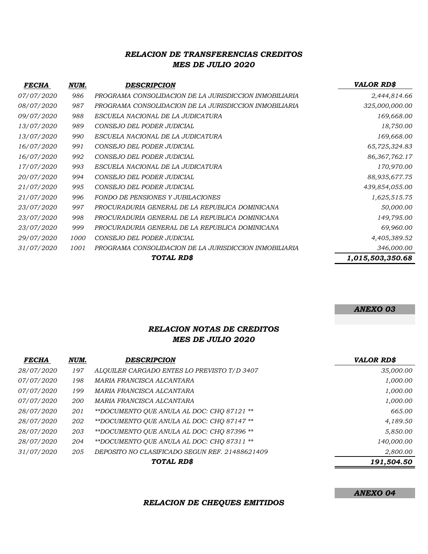## *RELACION DE TRANSFERENCIAS CREDITOS MES DE JULIO 2020*

| <i>FECHA</i>      | NUM. | <b>DESCRIPCION</b>                                     | <b>VALOR RD\$</b> |
|-------------------|------|--------------------------------------------------------|-------------------|
| <i>07/07/2020</i> | 986  | PROGRAMA CONSOLIDACION DE LA JURISDICCION INMOBILIARIA | 2,444,814.66      |
| <i>08/07/2020</i> | 987  | PROGRAMA CONSOLIDACION DE LA JURISDICCION INMOBILIARIA | 325,000,000.00    |
| 09/07/2020        | 988  | ESCUELA NACIONAL DE LA JUDICATURA                      | 169,668.00        |
| <i>13/07/2020</i> | 989  | CONSEJO DEL PODER JUDICIAL                             | 18,750.00         |
| <i>13/07/2020</i> | 990  | ESCUELA NACIONAL DE LA JUDICATURA                      | 169,668.00        |
| 16/07/2020        | 991  | CONSEJO DEL PODER JUDICIAL                             | 65,725,324.83     |
| 16/07/2020        | 992  | CONSEJO DEL PODER JUDICIAL                             | 86, 367, 762. 17  |
| <i>17/07/2020</i> | 993  | ESCUELA NACIONAL DE LA JUDICATURA                      | 170,970.00        |
| <i>20/07/2020</i> | 994  | CONSEJO DEL PODER JUDICIAL                             | 88,935,677.75     |
| 21/07/2020        | 995  | CONSEJO DEL PODER JUDICIAL                             | 439,854,055.00    |
| 21/07/2020        | 996  | FONDO DE PENSIONES Y JUBILACIONES                      | 1,625,515.75      |
| 23/07/2020        | 997  | PROCURADURIA GENERAL DE LA REPUBLICA DOMINICANA        | 50,000.00         |
| 23/07/2020        | 998  | PROCURADURIA GENERAL DE LA REPUBLICA DOMINICANA        | 149,795.00        |
| 23/07/2020        | 999  | PROCURADURIA GENERAL DE LA REPUBLICA DOMINICANA        | 69,960.00         |
| 29/07/2020        | 1000 | CONSEJO DEL PODER JUDICIAL                             | 4,405,389.52      |
| <i>31/07/2020</i> | 1001 | PROGRAMA CONSOLIDACION DE LA JURISDICCION INMOBILIARIA | 346,000.00        |
|                   |      | TOTAL RD\$                                             | 1,015,503,350.68  |

#### *ANEXO 03*

### *RELACION NOTAS DE CREDITOS MES DE JULIO 2020*

| <b>FECHA</b> | NUM.       | <b>DESCRIPCION</b>                             | <b>VALOR RD\$</b> |
|--------------|------------|------------------------------------------------|-------------------|
| 28/07/2020   | 197        | ALQUILER CARGADO ENTES LO PREVISTO T/D 3407    | 35,000.00         |
| 07/07/2020   | 198        | MARIA FRANCISCA ALCANTARA                      | 1,000.00          |
| 07/07/2020   | 199        | MARIA FRANCISCA ALCANTARA                      | 1,000.00          |
| 07/07/2020   | <i>200</i> | MARIA FRANCISCA ALCANTARA                      | 1,000.00          |
| 28/07/2020   | 201        | **DOCUMENTO QUE ANULA AL DOC: CHQ 87121 **     | 665.00            |
| 28/07/2020   | 202        | **DOCUMENTO QUE ANULA AL DOC: CHQ 87147 **     | 4,189.50          |
| 28/07/2020   | 203        | **DOCUMENTO OUE ANULA AL DOC: CHO 87396 **     | 5,850.00          |
| 28/07/2020   | 204        | **DOCUMENTO OUE ANULA AL DOC: CHO 87311 **     | 140,000.00        |
| 31/07/2020   | 205        | DEPOSITO NO CLASIFICADO SEGUN REF. 21488621409 | 2,800.00          |
|              |            | TOTAL RD\$                                     | 191,504.50        |

*RELACION DE CHEQUES EMITIDOS*

*ANEXO 04*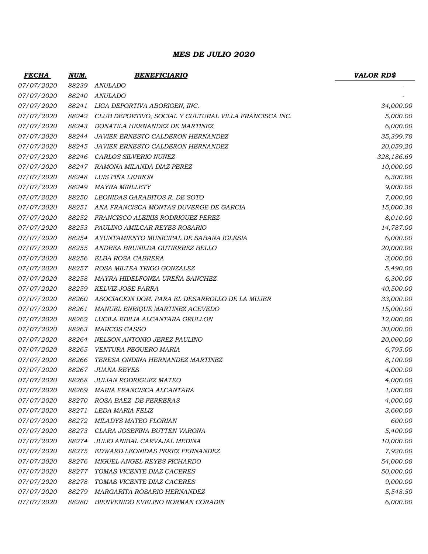### *MES DE JULIO 2020*

| <b>FECHA</b>      | <u>NUM.</u> | <b>BENEFICIARIO</b>                                    | <b>VALOR RD\$</b> |
|-------------------|-------------|--------------------------------------------------------|-------------------|
| 07/07/2020        | 88239       | <b>ANULADO</b>                                         |                   |
| 07/07/2020        | 88240       | <b>ANULADO</b>                                         |                   |
| 07/07/2020        | 88241       | LIGA DEPORTIVA ABORIGEN, INC.                          | 34,000.00         |
| 07/07/2020        | 88242       | CLUB DEPORTIVO, SOCIAL Y CULTURAL VILLA FRANCISCA INC. | 5,000.00          |
| 07/07/2020        | 88243       | DONATILA HERNANDEZ DE MARTINEZ                         | 6,000.00          |
| 07/07/2020        | 88244       | <b>JAVIER ERNESTO CALDERON HERNANDEZ</b>               | 35,399.70         |
| 07/07/2020        | 88245       | <b>JAVIER ERNESTO CALDERON HERNANDEZ</b>               | 20,059.20         |
| 07/07/2020        | 88246       | CARLOS SILVERIO NUÑEZ                                  | 328,186.69        |
| 07/07/2020        | 88247       | RAMONA MILANDA DIAZ PEREZ                              | 10,000.00         |
| <i>07/07/2020</i> | 88248       | LUIS PIÑA LEBRON                                       | 6,300.00          |
| 07/07/2020        | 88249       | <b>MAYRA MINLLETY</b>                                  | 9,000.00          |
| 07/07/2020        | 88250       | LEONIDAS GARABITOS R. DE SOTO                          | 7,000.00          |
| 07/07/2020        | 88251       | ANA FRANCISCA MONTAS DUVERGE DE GARCIA                 | 15,000.30         |
| <i>07/07/2020</i> | 88252       | FRANCISCO ALEIXIS RODRIGUEZ PEREZ                      | 8,010.00          |
| 07/07/2020        | 88253       | PAULINO AMILCAR REYES ROSARIO                          | 14,787.00         |
| 07/07/2020        | 88254       | AYUNTAMIENTO MUNICIPAL DE SABANA IGLESIA               | 6,000.00          |
| 07/07/2020        | 88255       | ANDREA BRUNILDA GUTIERREZ BELLO                        | 20,000.00         |
| 07/07/2020        | 88256       | ELBA ROSA CABRERA                                      | 3,000.00          |
| 07/07/2020        | 88257       | ROSA MILTEA TRIGO GONZALEZ                             | 5,490.00          |
| 07/07/2020        | 88258       | MAYRA HIDELFONZA UREÑA SANCHEZ                         | 6,300.00          |
| 07/07/2020        | 88259       | KELVIZ JOSE PARRA                                      | 40,500.00         |
| 07/07/2020        | 88260       | ASOCIACION DOM. PARA EL DESARROLLO DE LA MUJER         | 33,000.00         |
| 07/07/2020        | 88261       | MANUEL ENRIQUE MARTINEZ ACEVEDO                        | 15,000.00         |
| 07/07/2020        | 88262       | LUCILA EDILIA ALCANTARA GRULLON                        | 12,000.00         |
| 07/07/2020        | 88263       | <b>MARCOS CASSO</b>                                    | 30,000.00         |
| 07/07/2020        | 88264       | NELSON ANTONIO JEREZ PAULINO                           | 20,000.00         |
| 07/07/2020        | 88265       | VENTURA PEGUERO MARIA                                  | 6,795.00          |
| 07/07/2020        | 88266       | TERESA ONDINA HERNANDEZ MARTINEZ                       | 8,100.00          |
| 07/07/2020        | 88267       | <b>JUANA REYES</b>                                     | 4,000.00          |
| <i>07/07/2020</i> |             | 88268 JULIAN RODRIGUEZ MATEO                           | 4,000.00          |
| 07/07/2020        | 88269       | MARIA FRANCISCA ALCANTARA                              | 1,000.00          |
| 07/07/2020        | 88270       | ROSA BAEZ DE FERRERAS                                  | 4,000.00          |
| 07/07/2020        | 88271       | LEDA MARIA FELIZ                                       | 3,600.00          |
| 07/07/2020        | 88272       | <b>MILADYS MATEO FLORIAN</b>                           | 600.00            |
| <i>07/07/2020</i> | 88273       | CLARA JOSEFINA BUTTEN VARONA                           | 5,400.00          |
| <i>07/07/2020</i> | 88274       | JULIO ANIBAL CARVAJAL MEDINA                           | 10,000.00         |
| 07/07/2020        | 88275       | EDWARD LEONIDAS PEREZ FERNANDEZ                        | 7,920.00          |
| 07/07/2020        | 88276       | MIGUEL ANGEL REYES PICHARDO                            | 54,000.00         |
| 07/07/2020        | 88277       | TOMAS VICENTE DIAZ CACERES                             | 50,000.00         |
| <i>07/07/2020</i> | 88278       | TOMAS VICENTE DIAZ CACERES                             | 9,000.00          |
| <i>07/07/2020</i> | 88279       | MARGARITA ROSARIO HERNANDEZ                            | 5,548.50          |
| 07/07/2020        | 88280       | BIENVENIDO EVELINO NORMAN CORADIN                      | 6,000.00          |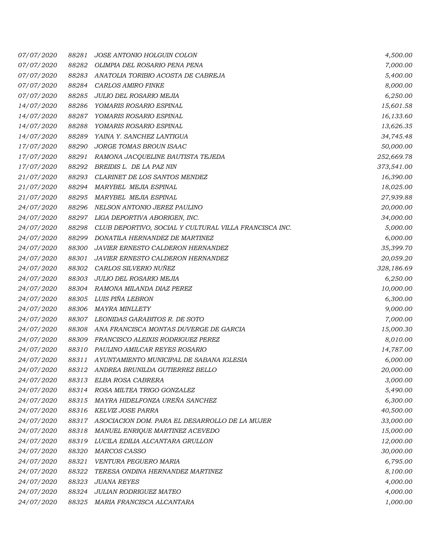| <i>07/07/2020</i> | 88281 | JOSE ANTONIO HOLGUIN COLON                             | 4,500.00   |
|-------------------|-------|--------------------------------------------------------|------------|
| 07/07/2020        | 88282 | OLIMPIA DEL ROSARIO PENA PENA                          | 7,000.00   |
| 07/07/2020        | 88283 | ANATOLIA TORIBIO ACOSTA DE CABREJA                     | 5,400.00   |
| 07/07/2020        | 88284 | CARLOS AMIRO FINKE                                     | 8,000.00   |
| <i>07/07/2020</i> | 88285 | JULIO DEL ROSARIO MEJIA                                | 6,250.00   |
| 14/07/2020        | 88286 | YOMARIS ROSARIO ESPINAL                                | 15,601.58  |
| <i>14/07/2020</i> | 88287 | YOMARIS ROSARIO ESPINAL                                | 16,133.60  |
| 14/07/2020        | 88288 | YOMARIS ROSARIO ESPINAL                                | 13,626.35  |
| <i>14/07/2020</i> | 88289 | YAINA Y. SANCHEZ LANTIGUA                              | 34,745.48  |
| 17/07/2020        | 88290 | JORGE TOMAS BROUN ISAAC                                | 50,000.00  |
| 17/07/2020        | 88291 | RAMONA JACQUELINE BAUTISTA TEJEDA                      | 252,669.78 |
| 17/07/2020        | 88292 | BREIDIS L. DE LA PAZ NIN                               | 373,541.00 |
| 21/07/2020        | 88293 | CLARINET DE LOS SANTOS MENDEZ                          | 16,390.00  |
| 21/07/2020        | 88294 | MARYBEL MEJIA ESPINAL                                  | 18,025.00  |
| 21/07/2020        | 88295 | <b>MARYBEL MEJIA ESPINAL</b>                           | 27,939.88  |
| 24/07/2020        | 88296 | NELSON ANTONIO JEREZ PAULINO                           | 20,000.00  |
| 24/07/2020        | 88297 | LIGA DEPORTIVA ABORIGEN, INC.                          | 34,000.00  |
| 24/07/2020        | 88298 | CLUB DEPORTIVO, SOCIAL Y CULTURAL VILLA FRANCISCA INC. | 5,000.00   |
| 24/07/2020        | 88299 | DONATILA HERNANDEZ DE MARTINEZ                         | 6,000.00   |
| 24/07/2020        | 88300 | JAVIER ERNESTO CALDERON HERNANDEZ                      | 35,399.70  |
| 24/07/2020        | 88301 | JAVIER ERNESTO CALDERON HERNANDEZ                      | 20,059.20  |
| 24/07/2020        | 88302 | CARLOS SILVERIO NUÑEZ                                  | 328,186.69 |
| 24/07/2020        | 88303 | JULIO DEL ROSARIO MEJIA                                | 6,250.00   |
| 24/07/2020        | 88304 | RAMONA MILANDA DIAZ PEREZ                              | 10,000.00  |
| 24/07/2020        | 88305 | LUIS PIÑA LEBRON                                       | 6,300.00   |
| 24/07/2020        | 88306 | <b>MAYRA MINLLETY</b>                                  | 9,000.00   |
| 24/07/2020        | 88307 | LEONIDAS GARABITOS R. DE SOTO                          | 7,000.00   |
| 24/07/2020        | 88308 | ANA FRANCISCA MONTAS DUVERGE DE GARCIA                 | 15,000.30  |
| 24/07/2020        | 88309 | FRANCISCO ALEIXIS RODRIGUEZ PEREZ                      | 8,010.00   |
| 24/07/2020        | 88310 | PAULINO AMILCAR REYES ROSARIO                          | 14,787.00  |
| 24/07/2020        | 88311 | AYUNTAMIENTO MUNICIPAL DE SABANA IGLESIA               | 6,000.00   |
| <i>24/07/2020</i> | 88312 | ANDREA BRUNILDA GUTIERREZ BELLO                        | 20,000.00  |
| 24/07/2020        | 88313 | ELBA ROSA CABRERA                                      | 3,000.00   |
| 24/07/2020        | 88314 | ROSA MILTEA TRIGO GONZALEZ                             | 5,490.00   |
| 24/07/2020        | 88315 | MAYRA HIDELFONZA UREÑA SANCHEZ                         | 6,300.00   |
| 24/07/2020        | 88316 | KELVIZ JOSE PARRA                                      | 40,500.00  |
| 24/07/2020        | 88317 | ASOCIACION DOM. PARA EL DESARROLLO DE LA MUJER         | 33,000.00  |
| 24/07/2020        | 88318 | MANUEL ENRIQUE MARTINEZ ACEVEDO                        | 15,000.00  |
| 24/07/2020        | 88319 | LUCILA EDILIA ALCANTARA GRULLON                        | 12,000.00  |
| 24/07/2020        | 88320 | MARCOS CASSO                                           | 30,000.00  |
| 24/07/2020        | 88321 | VENTURA PEGUERO MARIA                                  | 6,795.00   |
| 24/07/2020        | 88322 | TERESA ONDINA HERNANDEZ MARTINEZ                       | 8,100.00   |
| 24/07/2020        | 88323 | <b>JUANA REYES</b>                                     | 4,000.00   |
| 24/07/2020        | 88324 | <b>JULIAN RODRIGUEZ MATEO</b>                          | 4,000.00   |
| 24/07/2020        |       | 88325 MARIA FRANCISCA ALCANTARA                        | 1,000.00   |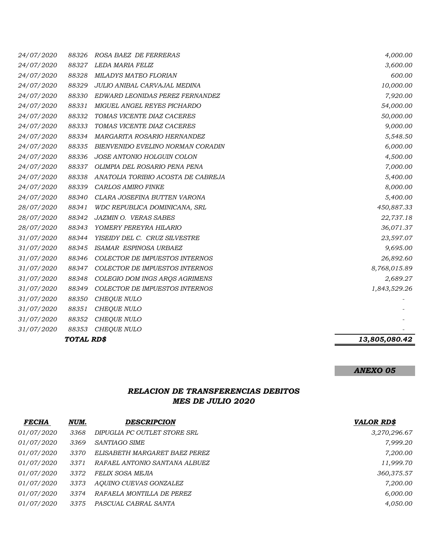| 24/07/2020 | 88339      | <b>CARLOS AMIRO FINKE</b>             | 8,000.00             |
|------------|------------|---------------------------------------|----------------------|
| 24/07/2020 | 88338      | ANATOLIA TORIBIO ACOSTA DE CABREJA    | 7,000.00<br>5,400.00 |
|            |            |                                       |                      |
|            | 88340      | CLARA JOSEFINA BUTTEN VARONA          | 5,400.00             |
| 24/07/2020 |            |                                       |                      |
| 28/07/2020 | 88341      | WDC REPUBLICA DOMINICANA, SRL         | 450,887.33           |
| 28/07/2020 | 88342      | JAZMIN O. VERAS SABES                 | 22,737.18            |
| 28/07/2020 | 88343      | YOMERY PEREYRA HILARIO                | 36,071.37            |
| 31/07/2020 | 88344      | YISEIDY DEL C. CRUZ SILVESTRE         | 23,597.07            |
| 31/07/2020 | 88345      | ISAMAR ESPINOSA URBAEZ                | 9,695.00             |
| 31/07/2020 | 88346      | COLECTOR DE IMPUESTOS INTERNOS        | 26,892.60            |
| 31/07/2020 | 88347      | <b>COLECTOR DE IMPUESTOS INTERNOS</b> | 8,768,015.89         |
| 31/07/2020 | 88348      | COLEGIO DOM INGS ARQS AGRIMENS        | 2,689.27             |
| 31/07/2020 | 88349      | COLECTOR DE IMPUESTOS INTERNOS        | 1,843,529.26         |
| 31/07/2020 | 88350      | CHEQUE NULO                           |                      |
| 31/07/2020 | 88351      | CHEQUE NULO                           |                      |
| 31/07/2020 | 88352      | <b>CHEQUE NULO</b>                    |                      |
| 31/07/2020 | 88353      | <b>CHEQUE NULO</b>                    |                      |
|            | TOTAL RD\$ |                                       |                      |
|            |            |                                       | 13,805,080.42        |

#### *ANEXO 05*

## *RELACION DE TRANSFERENCIAS DEBITOS MES DE JULIO 2020*

| <b>FECHA</b>      | NUM. | DESCRIPCION                   | <b>VALOR RD\$</b> |
|-------------------|------|-------------------------------|-------------------|
| <i>01/07/2020</i> | 3368 | DIPUGLIA PC OUTLET STORE SRL  | 3,270,296.67      |
| 01/07/2020        | 3369 | SANTIAGO SIME                 | 7,999.20          |
| <i>01/07/2020</i> | 3370 | ELISABETH MARGARET BAEZ PEREZ | 7,200.00          |
| <i>01/07/2020</i> | 3371 | RAFAEL ANTONIO SANTANA ALBUEZ | 11,999.70         |
| <i>01/07/2020</i> | 3372 | FELIX SOSA MEJIA              | 360,375.57        |
| <i>01/07/2020</i> | 3373 | AQUINO CUEVAS GONZALEZ        | 7,200.00          |
| <i>01/07/2020</i> | 3374 | RAFAELA MONTILLA DE PEREZ     | 6,000.00          |
| <i>01/07/2020</i> | 3375 | PASCUAL CABRAL SANTA          | 4,050.00          |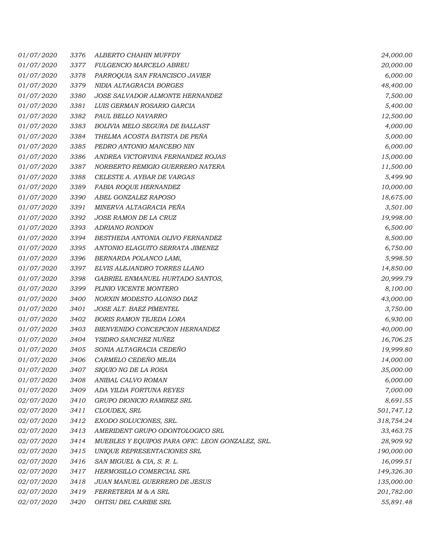| <i>01/07/2020</i> | 3376 | ALBERTO CHAHIN MUFFDY                            | 24,000.00  |
|-------------------|------|--------------------------------------------------|------------|
| <i>01/07/2020</i> | 3377 | FULGENCIO MARCELO ABREU                          | 20,000.00  |
| <i>01/07/2020</i> | 3378 | PARROQUIA SAN FRANCISCO JAVIER                   | 6,000.00   |
| 01/07/2020        | 3379 | NIDIA ALTAGRACIA BORGES                          | 48,400.00  |
| 01/07/2020        | 3380 | JOSE SALVADOR ALMONTE HERNANDEZ                  | 7,500.00   |
| 01/07/2020        | 3381 | LUIS GERMAN ROSARIO GARCIA                       | 5,400.00   |
| 01/07/2020        | 3382 | PAUL BELLO NAVARRO                               | 12,500.00  |
| <i>01/07/2020</i> | 3383 | BOLIVIA MELO SEGURA DE BALLAST                   | 4,000.00   |
| 01/07/2020        | 3384 | THELMA ACOSTA BATISTA DE PEÑA                    | 5,000.00   |
| <i>01/07/2020</i> | 3385 | PEDRO ANTONIO MANCEBO NIN                        | 6,000.00   |
| 01/07/2020        | 3386 | ANDREA VICTORVINA FERNANDEZ ROJAS                | 15,000.00  |
| <i>01/07/2020</i> | 3387 | NORBERTO REMIGIO GUERRERO NATERA                 | 11,500.00  |
| <i>01/07/2020</i> | 3388 | CELESTE A. AYBAR DE VARGAS                       | 5,499.90   |
| 01/07/2020        | 3389 | FABIA ROQUE HERNANDEZ                            | 10,000.00  |
| 01/07/2020        | 3390 | ABEL GONZALEZ RAPOSO                             | 18,675.00  |
| 01/07/2020        | 3391 | MINERVA ALTAGRACIA PEÑA                          | 3,501.00   |
| <i>01/07/2020</i> | 3392 | JOSE RAMON DE LA CRUZ                            | 19,998.00  |
| 01/07/2020        | 3393 | <b>ADRIANO RONDON</b>                            | 6,500.00   |
| 01/07/2020        | 3394 | BESTHEDA ANTONIA OLIVO FERNANDEZ                 | 8,500.00   |
| <i>01/07/2020</i> | 3395 | ANTONIO ELAGUITO SERRATA JIMENEZ                 | 6,750.00   |
| 01/07/2020        | 3396 | BERNARDA POLANCO LAMí,                           | 5,998.50   |
| 01/07/2020        | 3397 | ELVIS ALEJANDRO TORRES LLANO                     | 14,850.00  |
| 01/07/2020        | 3398 | GABRIEL ENMANUEL HURTADO SANTOS,                 | 20,999.79  |
| <i>01/07/2020</i> | 3399 | PLINIO VICENTE MONTERO                           | 8,100.00   |
| 01/07/2020        | 3400 | NORXIN MODESTO ALONSO DIAZ                       | 43,000.00  |
| 01/07/2020        | 3401 | JOSE ALT. BAEZ PIMENTEL                          | 3,750.00   |
| <i>01/07/2020</i> | 3402 | <b>BORIS RAMON TEJEDA LORA</b>                   | 6,930.00   |
| 01/07/2020        | 3403 | BIENVENIDO CONCEPCION HERNANDEZ                  | 40,000.00  |
| 01/07/2020        | 3404 | YSIDRO SANCHEZ NUÑEZ                             | 16,706.25  |
| 01/07/2020        | 3405 | SONIA ALTAGRACIA CEDEÑO                          | 19,999.80  |
| 01/07/2020        | 3406 | CARMELO CEDEÑO MEJIA                             | 14,000.00  |
| <i>01/07/2020</i> | 3407 | SIQUIO NG DE LA ROSA                             | 35,000.00  |
| 01/07/2020        | 3408 | ANIBAL CALVO ROMAN                               | 6,000.00   |
| 01/07/2020        | 3409 | ADA YILDA FORTUNA REYES                          | 7,000.00   |
| 02/07/2020        | 3410 | GRUPO DIONICIO RAMIREZ SRL                       | 8,691.55   |
| <i>02/07/2020</i> | 3411 | CLOUDEX, SRL                                     | 501,747.12 |
| 02/07/2020        | 3412 | EXODO SOLUCIONES, SRL.                           | 318,754.24 |
| 02/07/2020        | 3413 | AMERIDENT GRUPO ODONTOLOGICO SRL                 | 33,463.75  |
| <i>02/07/2020</i> | 3414 | MUEBLES Y EQUIPOS PARA OFIC. LEON GONZALEZ, SRL. | 28,909.92  |
| 02/07/2020        | 3415 | UNIQUE REPRESENTACIONES SRL                      | 190,000.00 |
| <i>02/07/2020</i> | 3416 | SAN MIGUEL & CIA, S. R. L.                       | 16,099.51  |
| 02/07/2020        | 3417 | HERMOSILLO COMERCIAL SRL                         | 149,326.30 |
| <i>02/07/2020</i> | 3418 | JUAN MANUEL GUERRERO DE JESUS                    | 135,000.00 |
| 02/07/2020        | 3419 | FERRETERIA M & A SRL                             | 201,782.00 |
| 02/07/2020        | 3420 | OHTSU DEL CARIBE SRL                             | 55,891.48  |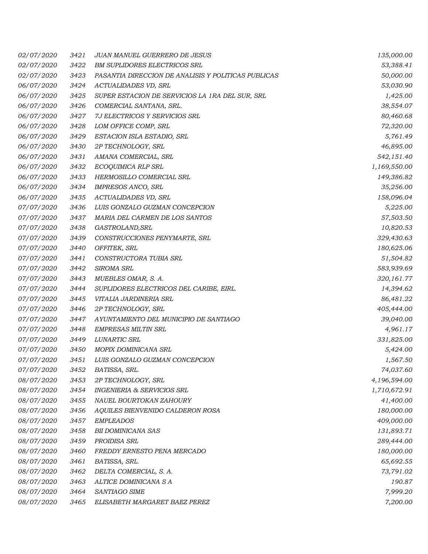| <i>02/07/2020</i> | 3421 | <b>JUAN MANUEL GUERRERO DE JESUS</b>                | 135,000.00   |
|-------------------|------|-----------------------------------------------------|--------------|
| 02/07/2020        | 3422 | <b>BM SUPLIDORES ELECTRICOS SRL</b>                 | 53,388.41    |
| 02/07/2020        | 3423 | PASANTIA DIRECCION DE ANALISIS Y POLITICAS PUBLICAS | 50,000.00    |
| 06/07/2020        | 3424 | ACTUALIDADES VD, SRL                                | 53,030.90    |
| 06/07/2020        | 3425 | SUPER ESTACION DE SERVICIOS LA 1RA DEL SUR, SRL     | 1,425.00     |
| 06/07/2020        | 3426 | COMERCIAL SANTANA, SRL.                             | 38,554.07    |
| 06/07/2020        | 3427 | 7J ELECTRICOS Y SERVICIOS SRL                       | 80,460.68    |
| 06/07/2020        | 3428 | LOM OFFICE COMP, SRL                                | 72,320.00    |
| 06/07/2020        | 3429 | ESTACION ISLA ESTADIO, SRL                          | 5,761.49     |
| 06/07/2020        | 3430 | 2P TECHNOLOGY, SRL                                  | 46,895.00    |
| 06/07/2020        | 3431 | AMANA COMERCIAL, SRL                                | 542,151.40   |
| 06/07/2020        | 3432 | ECOQUIMICA RLP SRL                                  | 1,169,550.00 |
| 06/07/2020        | 3433 | HERMOSILLO COMERCIAL SRL                            | 149,386.82   |
| 06/07/2020        | 3434 | IMPRESOS ANCO, SRL                                  | 35,256.00    |
| 06/07/2020        | 3435 | ACTUALIDADES VD, SRL                                | 158,096.04   |
| 07/07/2020        | 3436 | LUIS GONZALO GUZMAN CONCEPCION                      | 5,225.00     |
| 07/07/2020        | 3437 | MARIA DEL CARMEN DE LOS SANTOS                      | 57,503.50    |
| 07/07/2020        | 3438 | GASTROLAND, SRL                                     | 10,820.53    |
| 07/07/2020        | 3439 | CONSTRUCCIONES PENYMARTE, SRL                       | 329,430.63   |
| 07/07/2020        | 3440 | OFFITEK, SRL                                        | 180,625.06   |
| <i>07/07/2020</i> | 3441 | CONSTRUCTORA TUBIA SRL                              | 51,504.82    |
| 07/07/2020        | 3442 | SIROMA SRL                                          | 583,939.69   |
| 07/07/2020        | 3443 | MUEBLES OMAR, S. A.                                 | 320,161.77   |
| <i>07/07/2020</i> | 3444 | SUPLIDORES ELECTRICOS DEL CARIBE, EIRL.             | 14,394.62    |
| 07/07/2020        | 3445 | VITALIA JARDINERIA SRL                              | 86,481.22    |
| 07/07/2020        | 3446 | 2P TECHNOLOGY, SRL                                  | 405,444.00   |
| 07/07/2020        | 3447 | AYUNTAMIENTO DEL MUNICIPIO DE SANTIAGO              | 39,040.00    |
| 07/07/2020        | 3448 | <b>EMPRESAS MILTIN SRL</b>                          | 4,961.17     |
| 07/07/2020        | 3449 | LUNARTIC SRL                                        | 331,825.00   |
| 07/07/2020        | 3450 | MOPIX DOMINICANA SRL                                | 5,424.00     |
| <i>07/07/2020</i> | 3451 | LUIS GONZALO GUZMAN CONCEPCION                      | 1,567.50     |
| 07/07/2020        | 3452 | BATISSA, SRL.                                       | 74,037.60    |
| 08/07/2020        | 3453 | 2P TECHNOLOGY, SRL                                  | 4,196,594.00 |
| 08/07/2020        | 3454 | <b>INGENIERIA &amp; SERVICIOS SRL</b>               | 1,710,672.91 |
| 08/07/2020        | 3455 | NAUEL BOURTOKAN ZAHOURY                             | 41,400.00    |
| 08/07/2020        | 3456 | AQUILES BIENVENIDO CALDERON ROSA                    | 180,000.00   |
| 08/07/2020        | 3457 | <b>EMPLEADOS</b>                                    | 409,000.00   |
| 08/07/2020        | 3458 | <b>BII DOMINICANA SAS</b>                           | 131,893.71   |
| 08/07/2020        | 3459 | PROIDISA SRL                                        | 289,444.00   |
| 08/07/2020        | 3460 | FREDDY ERNESTO PENA MERCADO                         | 180,000.00   |
| 08/07/2020        | 3461 | BATISSA, SRL.                                       | 65,692.55    |
| 08/07/2020        | 3462 | DELTA COMERCIAL, S. A.                              | 73,791.02    |
| 08/07/2020        | 3463 | ALTICE DOMINICANA S A                               | 190.87       |
| 08/07/2020        | 3464 | SANTIAGO SIME                                       | 7,999.20     |
| 08/07/2020        | 3465 | ELISABETH MARGARET BAEZ PEREZ                       | 7,200.00     |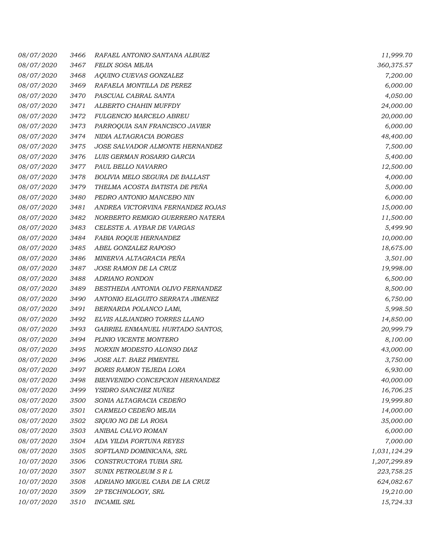| 08/07/2020        | 3466 | RAFAEL ANTONIO SANTANA ALBUEZ     | 11,999.70    |
|-------------------|------|-----------------------------------|--------------|
| 08/07/2020        | 3467 | FELIX SOSA MEJIA                  | 360,375.57   |
| <i>08/07/2020</i> | 3468 | AQUINO CUEVAS GONZALEZ            | 7,200.00     |
| 08/07/2020        | 3469 | RAFAELA MONTILLA DE PEREZ         | 6,000.00     |
| 08/07/2020        | 3470 | PASCUAL CABRAL SANTA              | 4,050.00     |
| <i>08/07/2020</i> | 3471 | ALBERTO CHAHIN MUFFDY             | 24,000.00    |
| 08/07/2020        | 3472 | FULGENCIO MARCELO ABREU           | 20,000.00    |
| 08/07/2020        | 3473 | PARROQUIA SAN FRANCISCO JAVIER    | 6,000.00     |
| 08/07/2020        | 3474 | NIDIA ALTAGRACIA BORGES           | 48,400.00    |
| 08/07/2020        | 3475 | JOSE SALVADOR ALMONTE HERNANDEZ   | 7,500.00     |
| 08/07/2020        | 3476 | LUIS GERMAN ROSARIO GARCIA        | 5,400.00     |
| 08/07/2020        | 3477 | PAUL BELLO NAVARRO                | 12,500.00    |
| <i>08/07/2020</i> | 3478 | BOLIVIA MELO SEGURA DE BALLAST    | 4,000.00     |
| 08/07/2020        | 3479 | THELMA ACOSTA BATISTA DE PEÑA     | 5,000.00     |
| 08/07/2020        | 3480 | PEDRO ANTONIO MANCEBO NIN         | 6,000.00     |
| 08/07/2020        | 3481 | ANDREA VICTORVINA FERNANDEZ ROJAS | 15,000.00    |
| 08/07/2020        | 3482 | NORBERTO REMIGIO GUERRERO NATERA  | 11,500.00    |
| 08/07/2020        | 3483 | CELESTE A. AYBAR DE VARGAS        | 5,499.90     |
| 08/07/2020        | 3484 | FABIA ROQUE HERNANDEZ             | 10,000.00    |
| <i>08/07/2020</i> | 3485 | ABEL GONZALEZ RAPOSO              | 18,675.00    |
| 08/07/2020        | 3486 | MINERVA ALTAGRACIA PEÑA           | 3,501.00     |
| 08/07/2020        | 3487 | JOSE RAMON DE LA CRUZ             | 19,998.00    |
| 08/07/2020        | 3488 | ADRIANO RONDON                    | 6,500.00     |
| 08/07/2020        | 3489 | BESTHEDA ANTONIA OLIVO FERNANDEZ  | 8,500.00     |
| 08/07/2020        | 3490 | ANTONIO ELAGUITO SERRATA JIMENEZ  | 6,750.00     |
| 08/07/2020        | 3491 | BERNARDA POLANCO LAMí,            | 5,998.50     |
| <i>08/07/2020</i> | 3492 | ELVIS ALEJANDRO TORRES LLANO      | 14,850.00    |
| 08/07/2020        | 3493 | GABRIEL ENMANUEL HURTADO SANTOS,  | 20,999.79    |
| 08/07/2020        | 3494 | PLINIO VICENTE MONTERO            | 8,100.00     |
| 08/07/2020        | 3495 | NORXIN MODESTO ALONSO DIAZ        | 43,000.00    |
| 08/07/2020        | 3496 | JOSE ALT. BAEZ PIMENTEL           | 3,750.00     |
| <i>08/07/2020</i> | 3497 | <b>BORIS RAMON TEJEDA LORA</b>    | 6,930.00     |
| 08/07/2020        | 3498 | BIENVENIDO CONCEPCION HERNANDEZ   | 40,000.00    |
| 08/07/2020        | 3499 | YSIDRO SANCHEZ NUÑEZ              | 16,706.25    |
| 08/07/2020        | 3500 | SONIA ALTAGRACIA CEDEÑO           | 19,999.80    |
| 08/07/2020        | 3501 | CARMELO CEDEÑO MEJIA              | 14,000.00    |
| 08/07/2020        | 3502 | SIQUIO NG DE LA ROSA              | 35,000.00    |
| 08/07/2020        | 3503 | ANIBAL CALVO ROMAN                | 6,000.00     |
| 08/07/2020        | 3504 | ADA YILDA FORTUNA REYES           | 7,000.00     |
| 08/07/2020        | 3505 | SOFTLAND DOMINICANA, SRL          | 1,031,124.29 |
| 10/07/2020        | 3506 | CONSTRUCTORA TUBIA SRL            | 1,207,299.89 |
| 10/07/2020        | 3507 | SUNIX PETROLEUM S R L             | 223,758.25   |
| 10/07/2020        | 3508 | ADRIANO MIGUEL CABA DE LA CRUZ    | 624,082.67   |
| 10/07/2020        | 3509 | 2P TECHNOLOGY, SRL                | 19,210.00    |
| 10/07/2020        | 3510 | <b>INCAMIL SRL</b>                | 15,724.33    |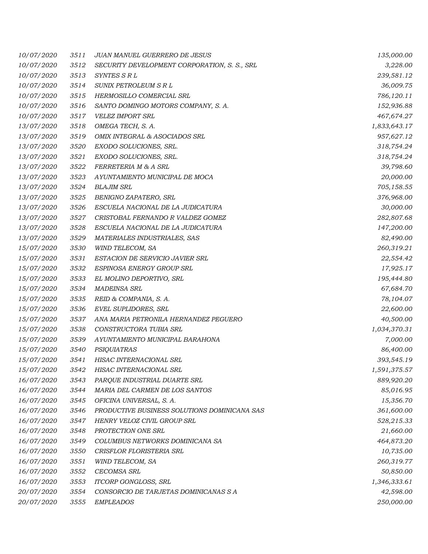| 10/07/2020        | 3511 | JUAN MANUEL GUERRERO DE JESUS                | 135,000.00   |
|-------------------|------|----------------------------------------------|--------------|
| 10/07/2020        | 3512 | SECURITY DEVELOPMENT CORPORATION, S. S., SRL | 3,228.00     |
| 10/07/2020        | 3513 | SYNTES S R L                                 | 239,581.12   |
| 10/07/2020        | 3514 | SUNIX PETROLEUM S R L                        | 36,009.75    |
| 10/07/2020        | 3515 | HERMOSILLO COMERCIAL SRL                     | 786,120.11   |
| 10/07/2020        | 3516 | SANTO DOMINGO MOTORS COMPANY, S. A.          | 152,936.88   |
| 10/07/2020        | 3517 | VELEZ IMPORT SRL                             | 467,674.27   |
| 13/07/2020        | 3518 | OMEGA TECH, S. A.                            | 1,833,643.17 |
| 13/07/2020        | 3519 | OMIX INTEGRAL & ASOCIADOS SRL                | 957,627.12   |
| <i>13/07/2020</i> | 3520 | EXODO SOLUCIONES, SRL.                       | 318,754.24   |
| 13/07/2020        | 3521 | EXODO SOLUCIONES, SRL.                       | 318,754.24   |
| 13/07/2020        | 3522 | FERRETERIA M & A SRL                         | 39,798.60    |
| 13/07/2020        | 3523 | AYUNTAMIENTO MUNICIPAL DE MOCA               | 20,000.00    |
| 13/07/2020        | 3524 | <b>BLAJIM SRL</b>                            | 705,158.55   |
| 13/07/2020        | 3525 | BENIGNO ZAPATERO, SRL                        | 376,968.00   |
| 13/07/2020        | 3526 | ESCUELA NACIONAL DE LA JUDICATURA            | 30,000.00    |
| <i>13/07/2020</i> | 3527 | CRISTOBAL FERNANDO R VALDEZ GOMEZ            | 282,807.68   |
| 13/07/2020        | 3528 | ESCUELA NACIONAL DE LA JUDICATURA            | 147,200.00   |
| 13/07/2020        | 3529 | MATERIALES INDUSTRIALES, SAS                 | 82,490.00    |
| 15/07/2020        | 3530 | WIND TELECOM, SA                             | 260,319.21   |
| 15/07/2020        | 3531 | ESTACION DE SERVICIO JAVIER SRL              | 22,554.42    |
| 15/07/2020        | 3532 | ESPINOSA ENERGY GROUP SRL                    | 17,925.17    |
| 15/07/2020        | 3533 | EL MOLINO DEPORTIVO, SRL                     | 195,444.80   |
| 15/07/2020        | 3534 | <b>MADEINSA SRL</b>                          | 67,684.70    |
| 15/07/2020        | 3535 | REID & COMPANIA, S. A.                       | 78,104.07    |
| <i>15/07/2020</i> | 3536 | <b>EVEL SUPLIDORES, SRL</b>                  | 22,600.00    |
| <i>15/07/2020</i> | 3537 | ANA MARIA PETRONILA HERNANDEZ PEGUERO        | 40,500.00    |
| 15/07/2020        | 3538 | CONSTRUCTORA TUBIA SRL                       | 1,034,370.31 |
| <i>15/07/2020</i> | 3539 | AYUNTAMIENTO MUNICIPAL BARAHONA              | 7,000.00     |
| 15/07/2020        | 3540 | <b>PSIQUIATRAS</b>                           | 86,400.00    |
| 15/07/2020        | 3541 | HISAC INTERNACIONAL SRL                      | 393,545.19   |
| <i>15/07/2020</i> | 3542 | HISAC INTERNACIONAL SRL                      | 1,591,375.57 |
| 16/07/2020        | 3543 | PARQUE INDUSTRIAL DUARTE SRL                 | 889,920.20   |
| 16/07/2020        | 3544 | MARIA DEL CARMEN DE LOS SANTOS               | 85,016.95    |
| 16/07/2020        | 3545 | OFICINA UNIVERSAL, S. A.                     | 15,356.70    |
| 16/07/2020        | 3546 | PRODUCTIVE BUSINESS SOLUTIONS DOMINICANA SAS | 361,600.00   |
| 16/07/2020        | 3547 | HENRY VELOZ CIVIL GROUP SRL                  | 528,215.33   |
| 16/07/2020        | 3548 | PROTECTION ONE SRL                           | 21,660.00    |
| 16/07/2020        | 3549 | COLUMBUS NETWORKS DOMINICANA SA              | 464,873.20   |
| 16/07/2020        | 3550 | CRISFLOR FLORISTERIA SRL                     | 10,735.00    |
| 16/07/2020        | 3551 | WIND TELECOM, SA                             | 260,319.77   |
| 16/07/2020        | 3552 | CECOMSA SRL                                  | 50,850.00    |
| 16/07/2020        | 3553 | <b>ITCORP GONGLOSS, SRL</b>                  | 1,346,333.61 |
| 20/07/2020        | 3554 | CONSORCIO DE TARJETAS DOMINICANAS S A        | 42,598.00    |
| 20/07/2020        | 3555 | <b>EMPLEADOS</b>                             | 250,000.00   |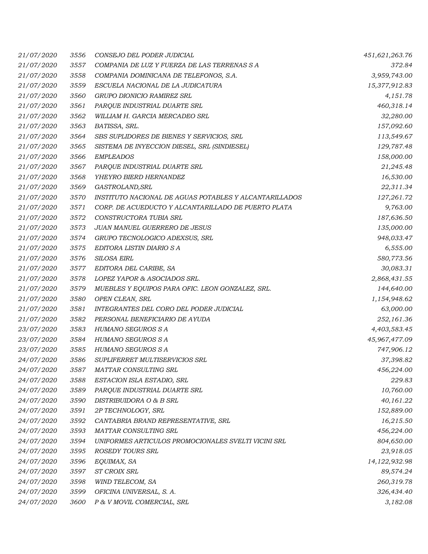| 21/07/2020 | 3556 | CONSEJO DEL PODER JUDICIAL                             | 451,621,263.76 |
|------------|------|--------------------------------------------------------|----------------|
| 21/07/2020 | 3557 | COMPANIA DE LUZ Y FUERZA DE LAS TERRENAS S A           | 372.84         |
| 21/07/2020 | 3558 | COMPANIA DOMINICANA DE TELEFONOS, S.A.                 | 3,959,743.00   |
| 21/07/2020 | 3559 | ESCUELA NACIONAL DE LA JUDICATURA                      | 15,377,912.83  |
| 21/07/2020 | 3560 | GRUPO DIONICIO RAMIREZ SRL                             | 4,151.78       |
| 21/07/2020 | 3561 | PARQUE INDUSTRIAL DUARTE SRL                           | 460,318.14     |
| 21/07/2020 | 3562 | WILLIAM H. GARCIA MERCADEO SRL                         | 32,280.00      |
| 21/07/2020 | 3563 | BATISSA, SRL.                                          | 157,092.60     |
| 21/07/2020 | 3564 | SBS SUPLIDORES DE BIENES Y SERVICIOS, SRL              | 113,549.67     |
| 21/07/2020 | 3565 | SISTEMA DE INYECCION DIESEL, SRL (SINDIESEL)           | 129,787.48     |
| 21/07/2020 | 3566 | <b>EMPLEADOS</b>                                       | 158,000.00     |
| 21/07/2020 | 3567 | PARQUE INDUSTRIAL DUARTE SRL                           | 21,245.48      |
| 21/07/2020 | 3568 | YHEYRO BIERD HERNANDEZ                                 | 16,530.00      |
| 21/07/2020 | 3569 | GASTROLAND, SRL                                        | 22,311.34      |
| 21/07/2020 | 3570 | INSTITUTO NACIONAL DE AGUAS POTABLES Y ALCANTARILLADOS | 127,261.72     |
| 21/07/2020 | 3571 | CORP. DE ACUEDUCTO Y ALCANTARILLADO DE PUERTO PLATA    | 9,763.00       |
| 21/07/2020 | 3572 | CONSTRUCTORA TUBIA SRL                                 | 187,636.50     |
| 21/07/2020 | 3573 | JUAN MANUEL GUERRERO DE JESUS                          | 135,000.00     |
| 21/07/2020 | 3574 | GRUPO TECNOLOGICO ADEXSUS, SRL                         | 948,033.47     |
| 21/07/2020 | 3575 | EDITORA LISTIN DIARIO S A                              | 6,555.00       |
| 21/07/2020 | 3576 | <b>SILOSA EIRL</b>                                     | 580,773.56     |
| 21/07/2020 | 3577 | EDITORA DEL CARIBE, SA                                 | 30,083.31      |
| 21/07/2020 | 3578 | LOPEZ YAPOR & ASOCIADOS SRL.                           | 2,868,431.55   |
| 21/07/2020 | 3579 | MUEBLES Y EQUIPOS PARA OFIC. LEON GONZALEZ, SRL.       | 144,640.00     |
| 21/07/2020 | 3580 | OPEN CLEAN, SRL                                        | 1,154,948.62   |
| 21/07/2020 | 3581 | INTEGRANTES DEL CORO DEL PODER JUDICIAL                | 63,000.00      |
| 21/07/2020 | 3582 | PERSONAL BENEFICIARIO DE AYUDA                         | 252,161.36     |
| 23/07/2020 | 3583 | HUMANO SEGUROS S A                                     | 4,403,583.45   |
| 23/07/2020 | 3584 | HUMANO SEGUROS S A                                     | 45,967,477.09  |
| 23/07/2020 | 3585 | HUMANO SEGUROS S A                                     | 747,906.12     |
| 24/07/2020 | 3586 | SUPLIFERRET MULTISERVICIOS SRL                         | 37,398.82      |
| 24/07/2020 | 3587 | MATTAR CONSULTING SRL                                  | 456,224.00     |
| 24/07/2020 | 3588 | ESTACION ISLA ESTADIO, SRL                             | 229.83         |
| 24/07/2020 | 3589 | PARQUE INDUSTRIAL DUARTE SRL                           | 10,760.00      |
| 24/07/2020 | 3590 | DISTRIBUIDORA O & B SRL                                | 40,161.22      |
| 24/07/2020 | 3591 | 2P TECHNOLOGY, SRL                                     | 152,889.00     |
| 24/07/2020 | 3592 | CANTABRIA BRAND REPRESENTATIVE, SRL                    | 16,215.50      |
| 24/07/2020 | 3593 | MATTAR CONSULTING SRL                                  | 456,224.00     |
| 24/07/2020 | 3594 | UNIFORMES ARTICULOS PROMOCIONALES SVELTI VICINI SRL    | 804,650.00     |
| 24/07/2020 | 3595 | ROSEDY TOURS SRL                                       | 23,918.05      |
| 24/07/2020 | 3596 | EQUIMAX, SA                                            | 14,122,932.98  |
| 24/07/2020 | 3597 | ST CROIX SRL                                           | 89,574.24      |
| 24/07/2020 | 3598 | WIND TELECOM, SA                                       | 260,319.78     |
| 24/07/2020 | 3599 | OFICINA UNIVERSAL, S. A.                               | 326,434.40     |
| 24/07/2020 | 3600 | P & V MOVIL COMERCIAL, SRL                             | 3,182.08       |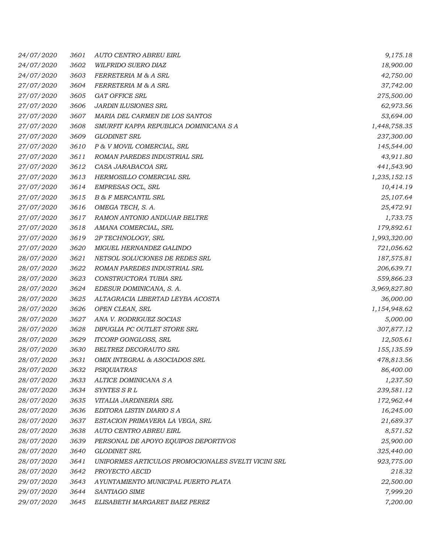| 24/07/2020 | 3601 | AUTO CENTRO ABREU EIRL                              | 9,175.18     |
|------------|------|-----------------------------------------------------|--------------|
| 24/07/2020 | 3602 | WILFRIDO SUERO DIAZ                                 | 18,900.00    |
| 24/07/2020 | 3603 | FERRETERIA M & A SRL                                | 42,750.00    |
| 27/07/2020 | 3604 | FERRETERIA M & A SRL                                | 37,742.00    |
| 27/07/2020 | 3605 | <b>GAT OFFICE SRL</b>                               | 275,500.00   |
| 27/07/2020 | 3606 | JARDIN ILUSIONES SRL                                | 62,973.56    |
| 27/07/2020 | 3607 | MARIA DEL CARMEN DE LOS SANTOS                      | 53,694.00    |
| 27/07/2020 | 3608 | SMURFIT KAPPA REPUBLICA DOMINICANA S A              | 1,448,758.35 |
| 27/07/2020 | 3609 | GLODINET SRL                                        | 237,300.00   |
| 27/07/2020 | 3610 | P & V MOVIL COMERCIAL, SRL                          | 145,544.00   |
| 27/07/2020 | 3611 | ROMAN PAREDES INDUSTRIAL SRL                        | 43,911.80    |
| 27/07/2020 | 3612 | CASA JARABACOA SRL                                  | 441,543.90   |
| 27/07/2020 | 3613 | HERMOSILLO COMERCIAL SRL                            | 1,235,152.15 |
| 27/07/2020 | 3614 | EMPRESAS OCL, SRL                                   | 10,414.19    |
| 27/07/2020 | 3615 | <b>B &amp; F MERCANTIL SRL</b>                      | 25,107.64    |
| 27/07/2020 | 3616 | OMEGA TECH, S. A.                                   | 25,472.91    |
| 27/07/2020 | 3617 | RAMON ANTONIO ANDUJAR BELTRE                        | 1,733.75     |
| 27/07/2020 | 3618 | AMANA COMERCIAL, SRL                                | 179,892.61   |
| 27/07/2020 | 3619 | 2P TECHNOLOGY, SRL                                  | 1,993,320.00 |
| 27/07/2020 | 3620 | MIGUEL HERNANDEZ GALINDO                            | 721,056.62   |
| 28/07/2020 | 3621 | NETSOL SOLUCIONES DE REDES SRL                      | 187,575.81   |
| 28/07/2020 | 3622 | ROMAN PAREDES INDUSTRIAL SRL                        | 206,639.71   |
| 28/07/2020 | 3623 | CONSTRUCTORA TUBIA SRL                              | 559,866.23   |
| 28/07/2020 | 3624 | EDESUR DOMINICANA, S. A.                            | 3,969,827.80 |
| 28/07/2020 | 3625 | ALTAGRACIA LIBERTAD LEYBA ACOSTA                    | 36,000.00    |
| 28/07/2020 | 3626 | OPEN CLEAN, SRL                                     | 1,154,948.62 |
| 28/07/2020 | 3627 | ANA V. RODRIGUEZ SOCIAS                             | 5,000.00     |
| 28/07/2020 | 3628 | DIPUGLIA PC OUTLET STORE SRL                        | 307,877.12   |
| 28/07/2020 | 3629 | ITCORP GONGLOSS, SRL                                | 12,505.61    |
| 28/07/2020 | 3630 | BELTREZ DECORAUTO SRL                               | 155,135.59   |
| 28/07/2020 | 3631 | OMIX INTEGRAL & ASOCIADOS SRL                       | 478,813.56   |
| 28/07/2020 | 3632 | <b>PSIQUIATRAS</b>                                  | 86,400.00    |
| 28/07/2020 | 3633 | ALTICE DOMINICANA S A                               | 1,237.50     |
| 28/07/2020 | 3634 | SYNTES S R L                                        | 239,581.12   |
| 28/07/2020 | 3635 | VITALIA JARDINERIA SRL                              | 172,962.44   |
| 28/07/2020 | 3636 | EDITORA LISTIN DIARIO S A                           | 16,245.00    |
| 28/07/2020 | 3637 | ESTACION PRIMAVERA LA VEGA, SRL                     | 21,689.37    |
| 28/07/2020 | 3638 | AUTO CENTRO ABREU EIRL                              | 8,571.52     |
| 28/07/2020 | 3639 | PERSONAL DE APOYO EQUIPOS DEPORTIVOS                | 25,900.00    |
| 28/07/2020 | 3640 | <b>GLODINET SRL</b>                                 | 325,440.00   |
| 28/07/2020 | 3641 | UNIFORMES ARTICULOS PROMOCIONALES SVELTI VICINI SRL | 923,775.00   |
| 28/07/2020 | 3642 | PROYECTO AECID                                      | 218.32       |
| 29/07/2020 | 3643 | AYUNTAMIENTO MUNICIPAL PUERTO PLATA                 | 22,500.00    |
| 29/07/2020 | 3644 | SANTIAGO SIME                                       | 7,999.20     |
| 29/07/2020 | 3645 | ELISABETH MARGARET BAEZ PEREZ                       | 7,200.00     |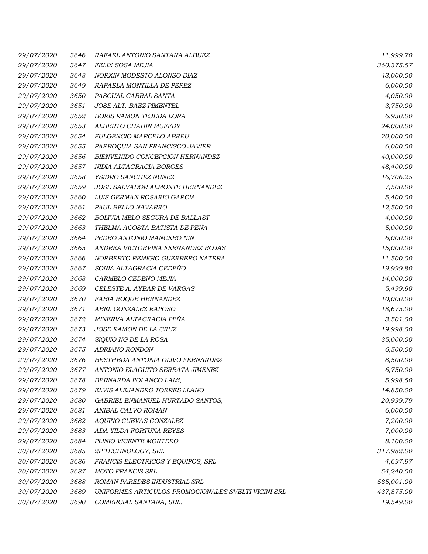| 29/07/2020        | 3646 | RAFAEL ANTONIO SANTANA ALBUEZ                       | 11,999.70  |
|-------------------|------|-----------------------------------------------------|------------|
| 29/07/2020        | 3647 | FELIX SOSA MEJIA                                    | 360,375.57 |
| <i>29/07/2020</i> | 3648 | NORXIN MODESTO ALONSO DIAZ                          | 43,000.00  |
| 29/07/2020        | 3649 | RAFAELA MONTILLA DE PEREZ                           | 6,000.00   |
| 29/07/2020        | 3650 | PASCUAL CABRAL SANTA                                | 4,050.00   |
| 29/07/2020        | 3651 | JOSE ALT. BAEZ PIMENTEL                             | 3,750.00   |
| 29/07/2020        | 3652 | <b>BORIS RAMON TEJEDA LORA</b>                      | 6,930.00   |
| 29/07/2020        | 3653 | ALBERTO CHAHIN MUFFDY                               | 24,000.00  |
| 29/07/2020        | 3654 | FULGENCIO MARCELO ABREU                             | 20,000.00  |
| 29/07/2020        | 3655 | PARROQUIA SAN FRANCISCO JAVIER                      | 6,000.00   |
| 29/07/2020        | 3656 | BIENVENIDO CONCEPCION HERNANDEZ                     | 40,000.00  |
| 29/07/2020        | 3657 | NIDIA ALTAGRACIA BORGES                             | 48,400.00  |
| 29/07/2020        | 3658 | YSIDRO SANCHEZ NUÑEZ                                | 16,706.25  |
| 29/07/2020        | 3659 | JOSE SALVADOR ALMONTE HERNANDEZ                     | 7,500.00   |
| 29/07/2020        | 3660 | LUIS GERMAN ROSARIO GARCIA                          | 5,400.00   |
| 29/07/2020        | 3661 | PAUL BELLO NAVARRO                                  | 12,500.00  |
| <i>29/07/2020</i> | 3662 | BOLIVIA MELO SEGURA DE BALLAST                      | 4,000.00   |
| 29/07/2020        | 3663 | THELMA ACOSTA BATISTA DE PEÑA                       | 5,000.00   |
| 29/07/2020        | 3664 | PEDRO ANTONIO MANCEBO NIN                           | 6,000.00   |
| 29/07/2020        | 3665 | ANDREA VICTORVINA FERNANDEZ ROJAS                   | 15,000.00  |
| 29/07/2020        | 3666 | NORBERTO REMIGIO GUERRERO NATERA                    | 11,500.00  |
| 29/07/2020        | 3667 | SONIA ALTAGRACIA CEDEÑO                             | 19,999.80  |
| 29/07/2020        | 3668 | CARMELO CEDEÑO MEJIA                                | 14,000.00  |
| 29/07/2020        | 3669 | CELESTE A. AYBAR DE VARGAS                          | 5,499.90   |
| 29/07/2020        | 3670 | FABIA ROQUE HERNANDEZ                               | 10,000.00  |
| 29/07/2020        | 3671 | ABEL GONZALEZ RAPOSO                                | 18,675.00  |
| 29/07/2020        | 3672 | MINERVA ALTAGRACIA PEÑA                             | 3,501.00   |
| 29/07/2020        | 3673 | JOSE RAMON DE LA CRUZ                               | 19,998.00  |
| 29/07/2020        | 3674 | SIQUIO NG DE LA ROSA                                | 35,000.00  |
| 29/07/2020        | 3675 | <b>ADRIANO RONDON</b>                               | 6,500.00   |
| 29/07/2020        | 3676 | BESTHEDA ANTONIA OLIVO FERNANDEZ                    | 8,500.00   |
| 29/07/2020        | 3677 | ANTONIO ELAGUITO SERRATA JIMENEZ                    | 6,750.00   |
| 29/07/2020        | 3678 | BERNARDA POLANCO LAMí,                              | 5,998.50   |
| 29/07/2020        | 3679 | ELVIS ALEJANDRO TORRES LLANO                        | 14,850.00  |
| 29/07/2020        | 3680 | GABRIEL ENMANUEL HURTADO SANTOS,                    | 20,999.79  |
| 29/07/2020        | 3681 | ANIBAL CALVO ROMAN                                  | 6,000.00   |
| 29/07/2020        | 3682 | AQUINO CUEVAS GONZALEZ                              | 7,200.00   |
| 29/07/2020        | 3683 | ADA YILDA FORTUNA REYES                             | 7,000.00   |
| 29/07/2020        | 3684 | PLINIO VICENTE MONTERO                              | 8,100.00   |
| 30/07/2020        | 3685 | 2P TECHNOLOGY, SRL                                  | 317,982.00 |
| 30/07/2020        | 3686 | FRANCIS ELECTRICOS Y EQUIPOS, SRL                   | 4,697.97   |
| 30/07/2020        | 3687 | <b>MOTO FRANCIS SRL</b>                             | 54,240.00  |
| 30/07/2020        | 3688 | ROMAN PAREDES INDUSTRIAL SRL                        | 585,001.00 |
| 30/07/2020        | 3689 | UNIFORMES ARTICULOS PROMOCIONALES SVELTI VICINI SRL | 437,875.00 |
| 30/07/2020        | 3690 | COMERCIAL SANTANA, SRL.                             | 19,549.00  |